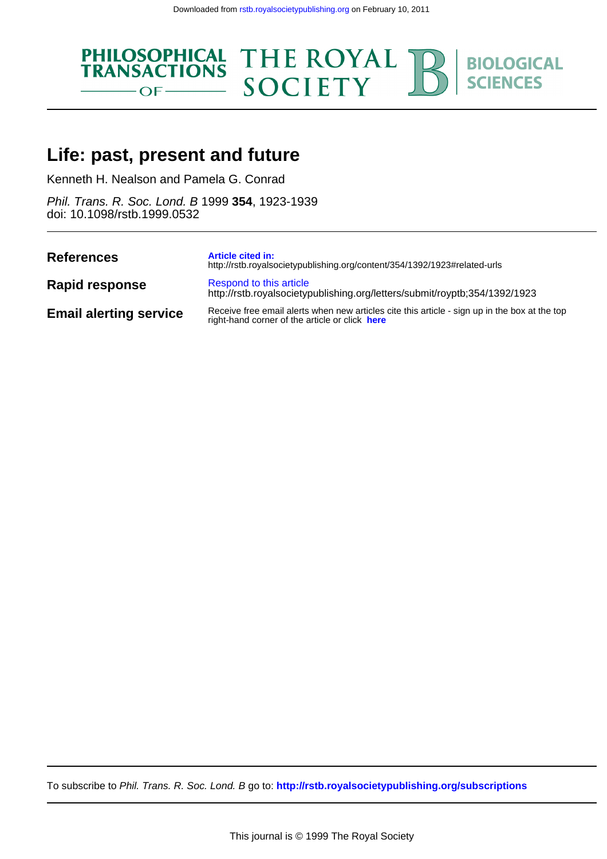

## **Life: past, present and future**

Kenneth H. Nealson and Pamela G. Conrad

doi: 10.1098/rstb.1999.0532 Phil. Trans. R. Soc. Lond. B 1999 **354**, 1923-1939

| <b>References</b>             | <b>Article cited in:</b><br>http://rstb.royalsocietypublishing.org/content/354/1392/1923#related-urls                                           |
|-------------------------------|-------------------------------------------------------------------------------------------------------------------------------------------------|
| <b>Rapid response</b>         | Respond to this article<br>http://rstb.royalsocietypublishing.org/letters/submit/royptb;354/1392/1923                                           |
| <b>Email alerting service</b> | Receive free email alerts when new articles cite this article - sign up in the box at the top<br>right-hand corner of the article or click here |

To subscribe to Phil. Trans. R. Soc. Lond. B go to: **<http://rstb.royalsocietypublishing.org/subscriptions>**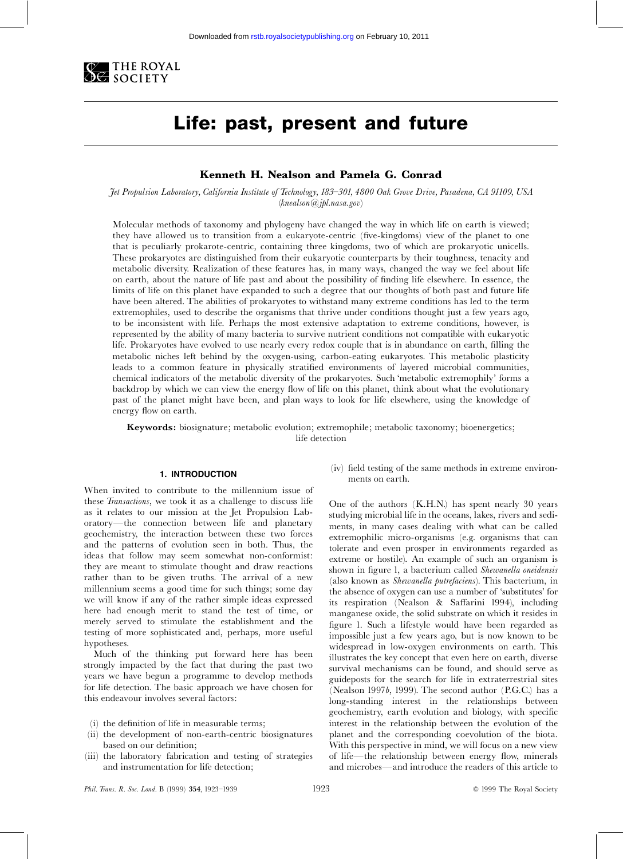

# Life: past, present and future

## Kenneth H. Nealson and Pamela G. Conrad

Jet Propulsion Laboratory, California Institute of Technology, 183–301, 4800 Oak Grove Drive, Pasadena, CA 91109, USA  $(knealson(a)$ jpl.nasa.gov)

Molecular methods of taxonomy and phylogeny have changed the way in which life on earth is viewed; they have allowed us to transition from a eukaryote-centric (five-kingdoms) view of the planet to one that is peculiarly prokarote-centric, containing three kingdoms, two of which are prokaryotic unicells. These prokaryotes are distinguished from their eukaryotic counterparts by their toughness, tenacity and metabolic diversity. Realization of these features has, in many ways, changed the way we feel about life on earth, about the nature of life past and about the possibility of finding life elsewhere. In essence, the limits of life on this planet have expanded to such a degree that our thoughts of both past and future life have been altered. The abilities of prokaryotes to withstand many extreme conditions has led to the term extremophiles, used to describe the organisms that thrive under conditions thought just a few years ago, to be inconsistent with life. Perhaps the most extensive adaptation to extreme conditions, however, is represented by the ability of many bacteria to survive nutrient conditions not compatible with eukaryotic life. Prokaryotes have evolved to use nearly every redox couple that is in abundance on earth, filling the metabolic niches left behind by the oxygen-using, carbon-eating eukaryotes. This metabolic plasticity leads to a common feature in physically stratified environments of layered microbial communities, chemical indicators of the metabolic diversity of the prokaryotes. Such 'metabolic extremophily' forms a backdrop by which we can view the energy flow of life on this planet, think about what the evolutionary past of the planet might have been, and plan ways to look for life elsewhere, using the knowledge of energy flow on earth.

Keywords: biosignature; metabolic evolution; extremophile; metabolic taxonomy; bioenergetics; life detection

#### 1. INTRODUCTION

When invited to contribute to the millennium issue of these *Transactions*, we took it as a challenge to discuss life as it relates to our mission at the Jet Propulsion Laboratory—the connection between life and planetary geochemistry, the interaction between these two forces and the patterns of evolution seen in both. Thus, the ideas that follow may seem somewhat non-conformist: they are meant to stimulate thought and draw reactions rather than to be given truths. The arrival of a new millennium seems a good time for such things; some day we will know if any of the rather simple ideas expressed here had enough merit to stand the test of time, or merely served to stimulate the establishment and the testing of more sophisticated and, perhaps, more useful hypotheses.

Much of the thinking put forward here has been strongly impacted by the fact that during the past two years we have begun a programme to develop methods for life detection. The basic approach we have chosen for this endeavour involves several factors:

- (i) the definition of life in measurable terms;
- (ii) the development of non-earth-centric biosignatures based on our definition;
- (iii) the laboratory fabrication and testing of strategies and instrumentation for life detection;

(iv) field testing of the same methods in extreme environments on earth.

One of the authors (K.H.N.) has spent nearly 30 years studying microbial life in the oceans, lakes, rivers and sediments, in many cases dealing with what can be called extremophilic micro-organisms (e.g. organisms that can tolerate and even prosper in environments regarded as extreme or hostile). An example of such an organism is shown in figure 1, a bacterium called Shewanella oneidensis (also known as Shewanella putrefaciens). This bacterium, in the absence of oxygen can use a number of 'substitutes' for its respiration (Nealson & Saffarini 1994), including manganese oxide, the solid substrate on which it resides in figure 1. Such a lifestyle would have been regarded as impossible just a few years ago, but is now known to be widespread in low-oxygen environments on earth. This illustrates the key concept that even here on earth, diverse survival mechanisms can be found, and should serve as guideposts for the search for life in extraterrestrial sites (Nealson 1997b, 1999). The second author (P.G.C.) has a long-standing interest in the relationships between geochemistry, earth evolution and biology, with specific interest in the relationship between the evolution of the planet and the corresponding coevolution of the biota. With this perspective in mind, we will focus on a new view of life—the relationship between energy flow, minerals and microbes—and introduce the readers of this article to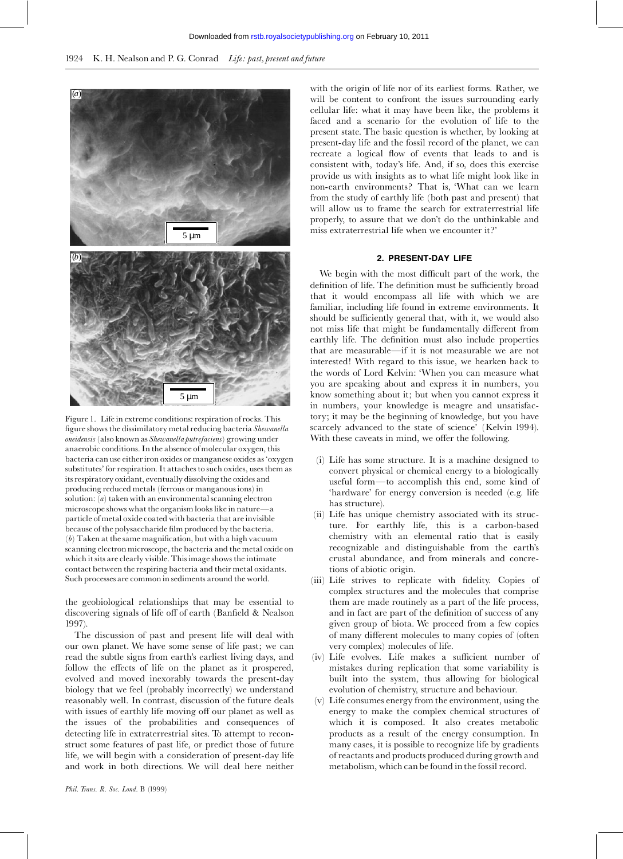

Figure 1. Life in extreme conditions: respiration of rocks. This figure shows the dissimilatory metal reducing bacteria Shewanella oneidensis (also known as Shewanella putrefaciens) growing under anaerobic conditions. In the absence of molecular oxygen, this bacteria can use either iron oxides or manganese oxides as 'oxygen substitutes' for respiration. It attaches to such oxides, uses them as its respiratory oxidant, eventually dissolving the oxides and producing reduced metals (ferrous or manganous ions) in solution:  $(a)$  taken with an environmental scanning electron microscope shows what the organism looks like in nature-a particle of metal oxide coated with bacteria that are invisible because of the polysaccharide film produced by the bacteria.  $(b)$  Taken at the same magnification, but with a high vacuum scanning electron microscope, the bacteria and the metal oxide on which it sits are clearly visible. This image shows the intimate contact between the respiring bacteria and their metal oxidants. Such processes are common in sediments around the world.

the geobiological relationships that may be essential to discovering signals of life off of earth (Banfield & Nealson 1997).

The discussion of past and present life will deal with our own planet. We have some sense of life past; we can read the subtle signs from earth's earliest living days, and follow the effects of life on the planet as it prospered, evolved and moved inexorably towards the present-day biology that we feel (probably incorrectly) we understand reasonably well. In contrast, discussion of the future deals with issues of earthly life moving off our planet as well as the issues of the probabilities and consequences of detecting life in extraterrestrial sites. To attempt to reconstruct some features of past life, or predict those of future life, we will begin with a consideration of present-day life and work in both directions. We will deal here neither

with the origin of life nor of its earliest forms. Rather, we will be content to confront the issues surrounding early cellular life: what it may have been like, the problems it faced and a scenario for the evolution of life to the present state. The basic question is whether, by looking at present-day life and the fossil record of the planet, we can recreate a logical flow of events that leads to and is consistent with, today's life. And, if so, does this exercise provide us with insights as to what life might look like in non-earth environments? That is, 'What can we learn from the study of earthly life (both past and present) that will allow us to frame the search for extraterrestrial life properly, to assure that we don't do the unthinkable and miss extraterrestrial life when we encounter it?'

#### 2. PRESENT-DAY LIFE

We begin with the most difficult part of the work, the definition of life. The definition must be sufficiently broad that it would encompass all life with which we are familiar, including life found in extreme environments. It should be sufficiently general that, with it, we would also not miss life that might be fundamentally different from earthly life. The definition must also include properties that are measurable—if it is not measurable we are not interested! With regard to this issue, we hearken back to the words of Lord Kelvin: 'When you can measure what you are speaking about and express it in numbers, you know something about it; but when you cannot express it in numbers, your knowledge is meagre and unsatisfactory; it may be the beginning of knowledge, but you have scarcely advanced to the state of science' (Kelvin 1994). With these caveats in mind, we offer the following.

- (i) Life has some structure. It is a machine designed to convert physical or chemical energy to a biologically useful form-to accomplish this end, some kind of 'hardware' for energy conversion is needed (e.g. life has structure).
- (ii) Life has unique chemistry associated with its structure. For earthly life, this is a carbon-based chemistry with an elemental ratio that is easily recognizable and distinguishable from the earth's crustal abundance, and from minerals and concretions of abiotic origin.
- (iii) Life strives to replicate with fidelity. Copies of complex structures and the molecules that comprise them are made routinely as a part of the life process, and in fact are part of the definition of success of any given group of biota. We proceed from a few copies of many different molecules to many copies of (often very complex) molecules of life.
- (iv) Life evolves. Life makes a sufficient number of mistakes during replication that some variability is built into the system, thus allowing for biological evolution of chemistry, structure and behaviour.
- $(v)$  Life consumes energy from the environment, using the energy to make the complex chemical structures of which it is composed. It also creates metabolic products as a result of the energy consumption. In many cases, it is possible to recognize life by gradients of reactants and products produced during growth and metabolism, which can be found in the fossil record.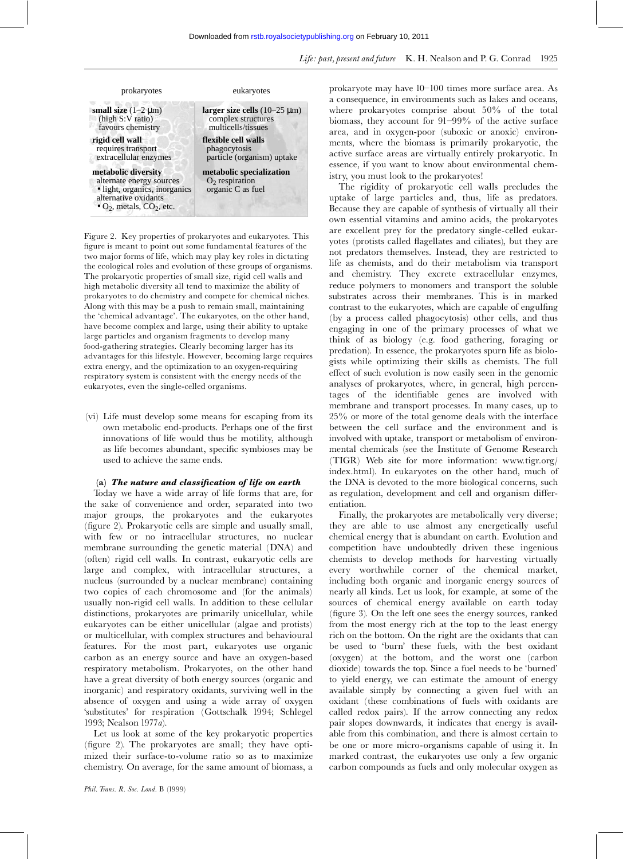| prokaryotes                                                                                                                                                           | eukaryotes                                                        |  |  |
|-----------------------------------------------------------------------------------------------------------------------------------------------------------------------|-------------------------------------------------------------------|--|--|
| small size $(1-2 \mu m)$                                                                                                                                              | larger size cells $(10-25 \mu m)$                                 |  |  |
| (high S:V ratio)                                                                                                                                                      | complex structures                                                |  |  |
| favours chemistry                                                                                                                                                     | multicells/tissues                                                |  |  |
| rigid cell wall                                                                                                                                                       | flexible cell walls                                               |  |  |
| requires transport                                                                                                                                                    | phagocytosis                                                      |  |  |
| extracellular enzymes                                                                                                                                                 | particle (organism) uptake                                        |  |  |
| metabolic diversity<br>alternate energy sources<br>· light, organics, inorganics<br>alternative oxidants<br>$\bullet$ O <sub>2</sub> , metals, CO <sub>2</sub> , etc. | metabolic specialization<br>$O2$ respiration<br>organic C as fuel |  |  |

Figure 2. Key properties of prokaryotes and eukaryotes. This figure is meant to point out some fundamental features of the two major forms of life, which may play key roles in dictating the ecological roles and evolution of these groups of organisms. The prokaryotic properties of small size, rigid cell walls and high metabolic diversity all tend to maximize the ability of prokaryotes to do chemistry and compete for chemical niches. Along with this may be a push to remain small, maintaining the 'chemical advantage'. The eukaryotes, on the other hand, have become complex and large, using their ability to uptake large particles and organism fragments to develop many food-gathering strategies. Clearly becoming larger has its advantages for this lifestyle. However, becoming large requires extra energy, and the optimization to an oxygen-requiring respiratory system is consistent with the energy needs of the eukaryotes, even the single-celled organisms.

(vi) Life must develop some means for escaping from its own metabolic end-products. Perhaps one of the first innovations of life would thus be motility, although as life becomes abundant, specific symbioses may be used to achieve the same ends.

#### $\left( a\right)$  The nature and classification of life on earth

Today we have a wide array of life forms that are, for the sake of convenience and order, separated into two major groups, the prokaryotes and the eukaryotes (figure 2). Prokaryotic cells are simple and usually small, with few or no intracellular structures, no nuclear membrane surrounding the genetic material (DNA) and (often) rigid cell walls. In contrast, eukaryotic cells are large and complex, with intracellular structures, a nucleus (surrounded by a nuclear membrane) containing two copies of each chromosome and (for the animals) usually non-rigid cell walls. In addition to these cellular distinctions, prokaryotes are primarily unicellular, while eukaryotes can be either unicellular (algae and protists) or multicellular, with complex structures and behavioural features. For the most part, eukaryotes use organic carbon as an energy source and have an oxygen-based respiratory metabolism. Prokaryotes, on the other hand have a great diversity of both energy sources (organic and inorganic) and respiratory oxidants, surviving well in the absence of oxygen and using a wide array of oxygen 'substitutes' for respiration (Gottschalk 1994; Schlegel 1993; Nealson 1977a).

Let us look at some of the key prokaryotic properties (figure 2). The prokaryotes are small; they have optimized their surface-to-volume ratio so as to maximize chemistry. On average, for the same amount of biomass, a prokaryote may have 10–100 times more surface area. As a consequence, in environments such as lakes and oceans, where prokaryotes comprise about  $50\%$  of the total biomass, they account for 91–99% of the active surface area, and in oxygen-poor (suboxic or anoxic) environments, where the biomass is primarily prokaryotic, the active surface areas are virtually entirely prokaryotic. In essence, if you want to know about environmental chemistry, you must look to the prokaryotes!

The rigidity of prokaryotic cell walls precludes the uptake of large particles and, thus, life as predators. Because they are capable of synthesis of virtually all their own essential vitamins and amino acids, the prokaryotes are excellent prey for the predatory single-celled eukaryotes (protists called flagellates and ciliates), but they are not predators themselves. Instead, they are restricted to life as chemists, and do their metabolism via transport and chemistry. They excrete extracellular enzymes, reduce polymers to monomers and transport the soluble substrates across their membranes. This is in marked contrast to the eukaryotes, which are capable of engulfing (by a process called phagocytosis) other cells, and thus engaging in one of the primary processes of what we think of as biology (e.g. food gathering, foraging or predation). In essence, the prokaryotes spurn life as biologists while optimizing their skills as chemists. The full effect of such evolution is now easily seen in the genomic analyses of prokaryotes, where, in general, high percentages of the identifiable genes are involved with membrane and transport processes. In many cases, up to  $25\%$  or more of the total genome deals with the interface between the cell surface and the environment and is involved with uptake, transport or metabolism of environmental chemicals (see the Institute of Genome Research  $(TIGR)$  Web site for more information: www.tigr.org/ index.html). In eukaryotes on the other hand, much of the DNA is devoted to the more biological concerns, such as regulation, development and cell and organism differentiation.

Finally, the prokaryotes are metabolically very diverse; they are able to use almost any energetically useful chemical energy that is abundant on earth. Evolution and competition have undoubtedly driven these ingenious chemists to develop methods for harvesting virtually every worthwhile corner of the chemical market, including both organic and inorganic energy sources of nearly all kinds. Let us look, for example, at some of the sources of chemical energy available on earth today (figure 3). On the left one sees the energy sources, ranked from the most energy rich at the top to the least energy rich on the bottom. On the right are the oxidants that can be used to 'burn' these fuels, with the best oxidant (oxygen) at the bottom, and the worst one (carbon dioxide) towards the top. Since a fuel needs to be 'burned' to yield energy, we can estimate the amount of energy available simply by connecting a given fuel with an oxidant (these combinations of fuels with oxidants are called redox pairs). If the arrow connecting any redox pair slopes downwards, it indicates that energy is available from this combination, and there is almost certain to be one or more micro-organisms capable of using it. In marked contrast, the eukaryotes use only a few organic carbon compounds as fuels and only molecular oxygen as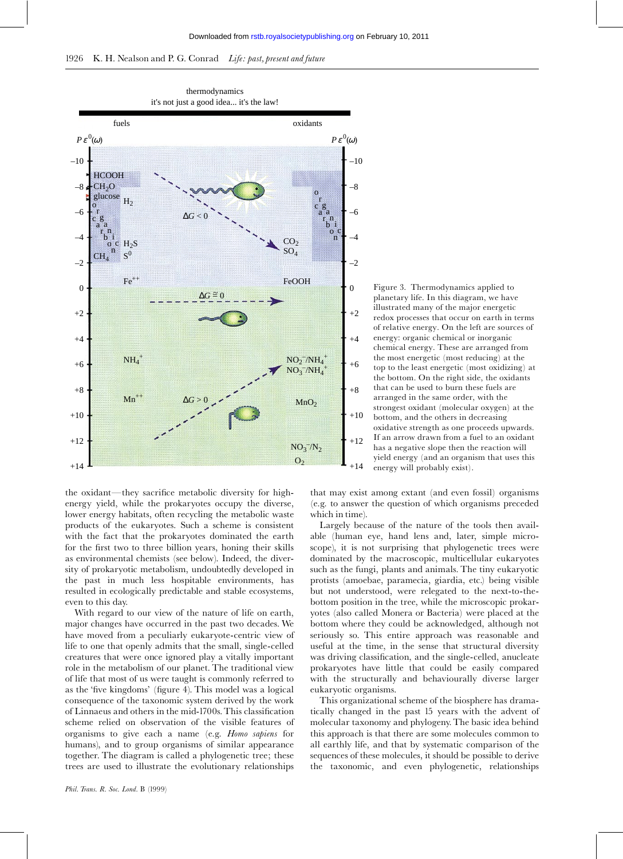



the oxidant—they sacrifice metabolic diversity for highenergy yield, while the prokaryotes occupy the diverse, lower energy habitats, often recycling the metabolic waste products of the eukaryotes. Such a scheme is consistent with the fact that the prokaryotes dominated the earth for the first two to three billion years, honing their skills as environmental chemists (see below). Indeed, the diversity of prokaryotic metabolism, undoubtedly developed in the past in much less hospitable environments, has resulted in ecologically predictable and stable ecosystems, even to this day.

With regard to our view of the nature of life on earth, major changes have occurred in the past two decades. We have moved from a peculiarly eukaryote-centric view of life to one that openly admits that the small, single-celled creatures that were once ignored play a vitally important role in the metabolism of our planet. The traditional view of life that most of us were taught is commonly referred to as the 'five kingdoms' (figure 4). This model was a logical consequence of the taxonomic system derived by the work of Linnaeus and others in the mid-1700s. This classification scheme relied on observation of the visible features of organisms to give each a name (e.g. Homo sapiens for humans), and to group organisms of similar appearance together. The diagram is called a phylogenetic tree; these trees are used to illustrate the evolutionary relationships

Phil. Trans. R. Soc. Lond. B (1999)

that may exist among extant (and even fossil) organisms (e.g. to answer the question of which organisms preceded which in time).

Largely because of the nature of the tools then available (human eye, hand lens and, later, simple microscope), it is not surprising that phylogenetic trees were dominated by the macroscopic, multicellular eukaryotes such as the fungi, plants and animals. The tiny eukaryotic protists (amoebae, paramecia, giardia, etc.) being visible but not understood, were relegated to the next-to-thebottom position in the tree, while the microscopic prokaryotes (also called Monera or Bacteria) were placed at the bottom where they could be acknowledged, although not seriously so. This entire approach was reasonable and useful at the time, in the sense that structural diversity was driving classification, and the single-celled, anucleate prokaryotes have little that could be easily compared with the structurally and behaviourally diverse larger eukaryotic organisms.

This organizational scheme of the biosphere has dramatically changed in the past 15 years with the advent of molecular taxonomy and phylogeny. The basic idea behind this approach is that there are some molecules common to all earthly life, and that by systematic comparison of the sequences of these molecules, it should be possible to derive the taxonomic, and even phylogenetic, relationships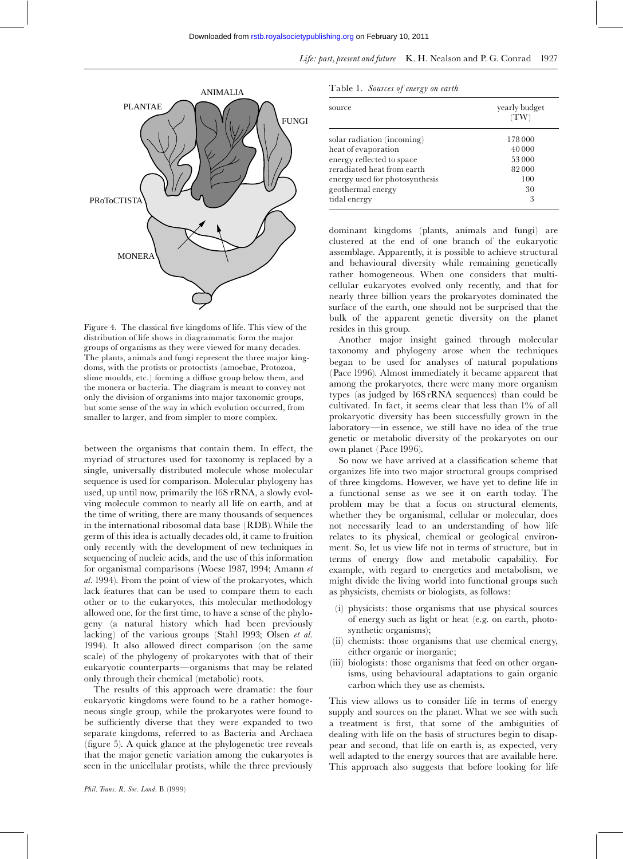

Figure 4. The classical five kingdoms of life. This view of the distribution of life shows in diagrammatic form the major groups of organisms as they were viewed for many decades. The plants, animals and fungi represent the three major kingdoms, with the protists or protoctists (amoebae, Protozoa, slime moulds, etc.) forming a diffuse group below them, and the monera or bacteria. The diagram is meant to convey not only the division of organisms into major taxonomic groups, but some sense of the way in which evolution occurred, from smaller to larger, and from simpler to more complex.

between the organisms that contain them. In effect, the myriad of structures used for taxonomy is replaced by a single, universally distributed molecule whose molecular sequence is used for comparison. Molecular phylogeny has used, up until now, primarily the 16S rRNA, a slowly evolving molecule common to nearly all life on earth, and at the time of writing, there are many thousands of sequences in the international ribosomal data base (RDB). While the germ of this idea is actually decades old, it came to fruition only recently with the development of new techniques in sequencing of nucleic acids, and the use of this information for organismal comparisons (Woese 1987, 1994; Amann et al. 1994). From the point of view of the prokaryotes, which lack features that can be used to compare them to each other or to the eukaryotes, this molecular methodology allowed one, for the first time, to have a sense of the phylogeny (a natural history which had been previously lacking) of the various groups (Stahl 1993; Olsen et al. 1994). It also allowed direct comparison (on the same scale) of the phylogeny of prokaryotes with that of their eukaryotic counterparts-organisms that may be related only through their chemical (metabolic) roots.

The results of this approach were dramatic: the four eukaryotic kingdoms were found to be a rather homogeneous single group, while the prokaryotes were found to be sufficiently diverse that they were expanded to two separate kingdoms, referred to as Bacteria and Archaea (figure 5). A quick glance at the phylogenetic tree reveals that the major genetic variation among the eukaryotes is seen in the unicellular protists, while the three previously

Table 1. Sources of energy on earth

| source                         | yearly budget<br>(TW) |
|--------------------------------|-----------------------|
| solar radiation (incoming)     | 178 000               |
| heat of evaporation            | 40 000                |
| energy reflected to space      | 53 000                |
| reradiated heat from earth     | 82000                 |
| energy used for photosynthesis | 100                   |
| geothermal energy              | 30                    |
| tidal energy                   | 3                     |

dominant kingdoms (plants, animals and fungi) are clustered at the end of one branch of the eukaryotic assemblage. Apparently, it is possible to achieve structural and behavioural diversity while remaining genetically rather homogeneous. When one considers that multicellular eukaryotes evolved only recently, and that for nearly three billion years the prokaryotes dominated the surface of the earth, one should not be surprised that the bulk of the apparent genetic diversity on the planet resides in this group.

Another major insight gained through molecular taxonomy and phylogeny arose when the techniques began to be used for analyses of natural populations (Pace 1996). Almost immediately it became apparent that among the prokaryotes, there were many more organism types (as judged by 16SrRNA sequences) than could be cultivated. In fact, it seems clear that less than 1% of all prokaryotic diversity has been successfully grown in the laboratory—in essence, we still have no idea of the true genetic or metabolic diversity of the prokaryotes on our own planet (Pace 1996).

So now we have arrived at a classification scheme that organizes life into two major structural groups comprised of three kingdoms. However, we have yet to define life in a functional sense as we see it on earth today. The problem may be that a focus on structural elements, whether they be organismal, cellular or molecular, does not necessarily lead to an understanding of how life relates to its physical, chemical or geological environment. So, let us view life not in terms of structure, but in terms of energy flow and metabolic capability. For example, with regard to energetics and metabolism, we might divide the living world into functional groups such as physicists, chemists or biologists, as follows:

- (i) physicists: those organisms that use physical sources of energy such as light or heat (e.g. on earth, photosynthetic organisms);
- (ii) chemists: those organisms that use chemical energy, either organic or inorganic;
- (iii) biologists: those organisms that feed on other organisms, using behavioural adaptations to gain organic carbon which they use as chemists.

This view allows us to consider life in terms of energy supply and sources on the planet. What we see with such a treatment is first, that some of the ambiguities of dealing with life on the basis of structures begin to disappear and second, that life on earth is, as expected, very well adapted to the energy sources that are available here. This approach also suggests that before looking for life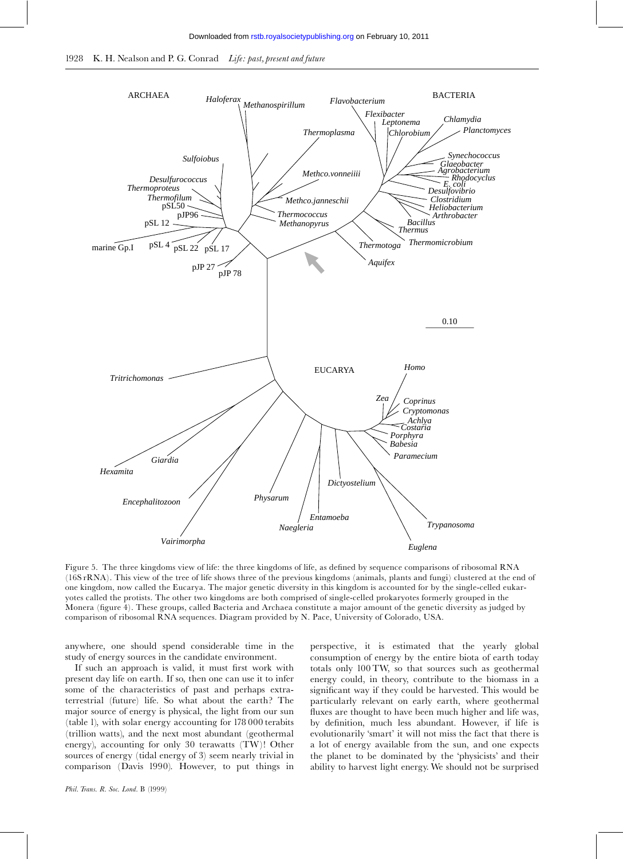

Figure 5. The three kingdoms view of life: the three kingdoms of life, as defined by sequence comparisons of ribosomal RNA (16S rRNA). This view of the tree of life shows three of the previous kingdoms (animals, plants and fungi) clustered at the end of one kingdom, now called the Eucarya. The major genetic diversity in this kingdom is accounted for by the single-celled eukaryotes called the protists. The other two kingdoms are both comprised of single-celled prokaryotes formerly grouped in the Monera (figure 4). These groups, called Bacteria and Archaea constitute a major amount of the genetic diversity as judged by comparison of ribosomal RNA sequences. Diagram provided by N. Pace, University of Colorado, USA.

anywhere, one should spend considerable time in the study of energy sources in the candidate environment.

If such an approach is valid, it must first work with present day life on earth. If so, then one can use it to infer some of the characteristics of past and perhaps extraterrestrial (future) life. So what about the earth? The major source of energy is physical, the light from our sun (table 1), with solar energy accounting for 178 000 terabits (trillion watts), and the next most abundant (geothermal energy), accounting for only 30 terawatts (TW)! Other sources of energy (tidal energy of 3) seem nearly trivial in comparison (Davis 1990). However, to put things in perspective, it is estimated that the yearly global consumption of energy by the entire biota of earth today totals only 100 TW, so that sources such as geothermal energy could, in theory, contribute to the biomass in a significant way if they could be harvested. This would be particularly relevant on early earth, where geothermal fluxes are thought to have been much higher and life was, by definition, much less abundant. However, if life is evolutionarily 'smart' it will not miss the fact that there is a lot of energy available from the sun, and one expects the planet to be dominated by the 'physicists' and their ability to harvest light energy. We should not be surprised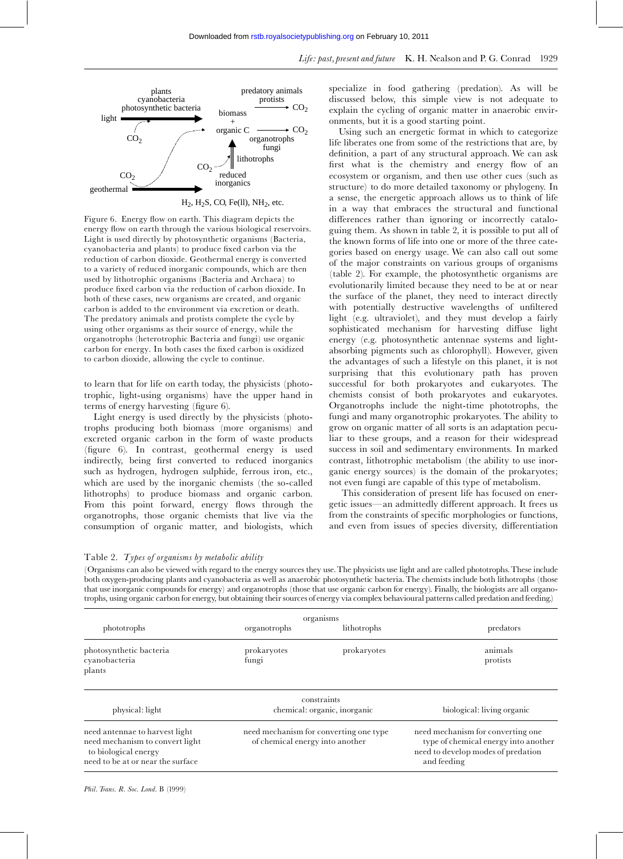

Figure 6. Energy flow on earth. This diagram depicts the energy flow on earth through the various biological reservoirs. Light is used directly by photosynthetic organisms (Bacteria, cyanobacteria and plants) to produce fixed carbon via the reduction of carbon dioxide. Geothermal energy is converted to a variety of reduced inorganic compounds, which are then used by lithotrophic organisms (Bacteria and Archaea) to produce fixed carbon via the reduction of carbon dioxide. In both of these cases, new organisms are created, and organic carbon is added to the environment via excretion or death. The predatory animals and protists complete the cycle by using other organisms as their source of energy, while the organotrophs (heterotrophic Bacteria and fungi) use organic carbon for energy. In both cases the fixed carbon is oxidized to carbon dioxide, allowing the cycle to continue.

to learn that for life on earth today, the physicists (phototrophic, light-using organisms) have the upper hand in terms of energy harvesting (figure 6).

Light energy is used directly by the physicists (phototrophs producing both biomass (more organisms) and excreted organic carbon in the form of waste products (figure 6). In contrast, geothermal energy is used indirectly, being first converted to reduced inorganics such as hydrogen, hydrogen sulphide, ferrous iron, etc., which are used by the inorganic chemists (the so-called lithotrophs) to produce biomass and organic carbon. From this point forward, energy flows through the organotrophs, those organic chemists that live via the consumption of organic matter, and biologists, which

specialize in food gathering (predation). As will be discussed below, this simple view is not adequate to explain the cycling of organic matter in anaerobic environments, but it is a good starting point.

Using such an energetic format in which to categorize life liberates one from some of the restrictions that are, by definition, a part of any structural approach. We can ask first what is the chemistry and energy flow of an ecosystem or organism, and then use other cues (such as structure) to do more detailed taxonomy or phylogeny. In a sense, the energetic approach allows us to think of life in a way that embraces the structural and functional differences rather than ignoring or incorrectly cataloguing them. As shown in table 2, it is possible to put all of the known forms of life into one or more of the three categories based on energy usage. We can also call out some of the major constraints on various groups of organisms (table 2). For example, the photosynthetic organisms are evolutionarily limited because they need to be at or near the surface of the planet, they need to interact directly with potentially destructive wavelengths of unfiltered light (e.g. ultraviolet), and they must develop a fairly sophisticated mechanism for harvesting diffuse light energy (e.g. photosynthetic antennae systems and lightabsorbing pigments such as chlorophyll). However, given the advantages of such a lifestyle on this planet, it is not surprising that this evolutionary path has proven successful for both prokaryotes and eukaryotes. The chemists consist of both prokaryotes and eukaryotes. Organotrophs include the night-time phototrophs, the fungi and many organotrophic prokaryotes. The ability to grow on organic matter of all sorts is an adaptation peculiar to these groups, and a reason for their widespread success in soil and sedimentary environments. In marked contrast, lithotrophic metabolism (the ability to use inorganic energy sources) is the domain of the prokaryotes; not even fungi are capable of this type of metabolism.

This consideration of present life has focused on energetic issues—an admittedly different approach. It frees us from the constraints of specific morphologies or functions, and even from issues of species diversity, differentiation

### Table 2. Types of organisms by metabolic ability

(Organisms can also be viewed with regard to the energy sources they use. The physicists use light and are called phototrophs. These include both oxygen-producing plants and cyanobacteria as well as anaerobic photosynthetic bacteria. The chemists include both lithotrophs (those that use inorganic compounds for energy) and organotrophs (those that use organic carbon for energy). Finally, the biologists are all organotrophs, using organic carbon for energy, but obtaining their sources of energy via complex behavioural patterns called predation and feeding.)

| organisms<br>phototrophs<br>lithotrophs<br>predators                                                                           |                                                                           |             |                                                                                                                                 |  |  |  |
|--------------------------------------------------------------------------------------------------------------------------------|---------------------------------------------------------------------------|-------------|---------------------------------------------------------------------------------------------------------------------------------|--|--|--|
|                                                                                                                                | organotrophs                                                              |             |                                                                                                                                 |  |  |  |
| photosynthetic bacteria<br>cyanobacteria<br>plants                                                                             | prokaryotes<br>fungi                                                      | prokaryotes | animals<br>protists                                                                                                             |  |  |  |
| physical: light                                                                                                                | constraints<br>chemical: organic, inorganic                               |             | biological: living organic                                                                                                      |  |  |  |
| need antennae to harvest light<br>need mechanism to convert light<br>to biological energy<br>need to be at or near the surface | need mechanism for converting one type<br>of chemical energy into another |             | need mechanism for converting one.<br>type of chemical energy into another<br>need to develop modes of predation<br>and feeding |  |  |  |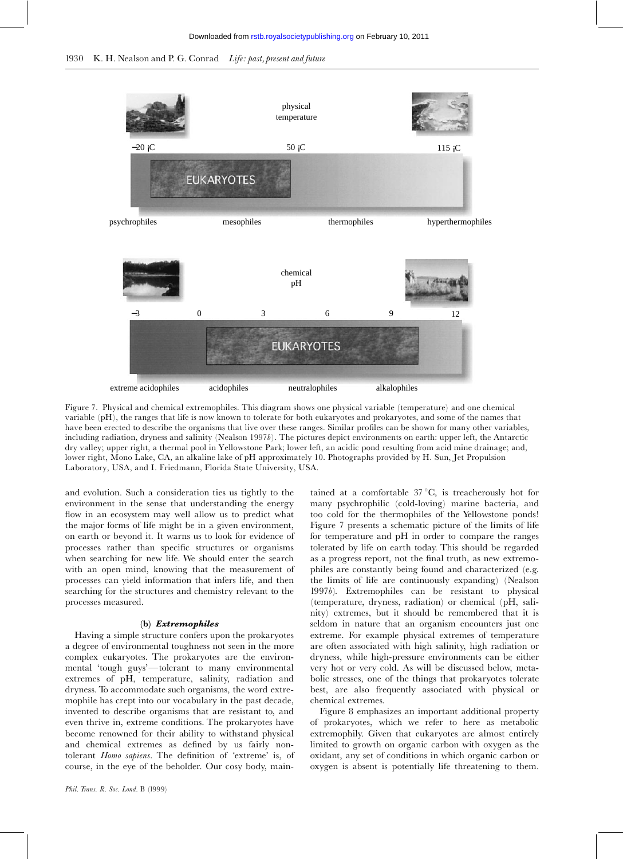

Figure 7. Physical and chemical extremophiles. This diagram shows one physical variable (temperature) and one chemical variable (pH), the ranges that life is now known to tolerate for both eukaryotes and prokaryotes, and some of the names that have been erected to describe the organisms that live over these ranges. Similar profiles can be shown for many other variables, including radiation, dryness and salinity (Nealson 1997b). The pictures depict environments on earth: upper left, the Antarctic dry valley; upper right, a thermal pool in Yellowstone Park; lower left, an acidic pond resulting from acid mine drainage; and, lower right, Mono Lake, CA, an alkaline lake of pH approximately 10. Photographs provided by H. Sun, Jet Propulsion Laboratory, USA, and I. Friedmann, Florida State University, USA.

and evolution. Such a consideration ties us tightly to the environment in the sense that understanding the energy flow in an ecosystem may well allow us to predict what the major forms of life might be in a given environment, on earth or beyond it. It warns us to look for evidence of processes rather than specific structures or organisms when searching for new life. We should enter the search with an open mind, knowing that the measurement of processes can yield information that infers life, and then searching for the structures and chemistry relevant to the processes measured.

#### (b) Extremophiles

Having a simple structure confers upon the prokaryotes a degree of environmental toughness not seen in the more complex eukaryotes. The prokaryotes are the environmental 'tough guys'—tolerant to many environmental extremes of pH, temperature, salinity, radiation and dryness. To accommodate such organisms, the word extremophile has crept into our vocabulary in the past decade, invented to describe organisms that are resistant to, and even thrive in, extreme conditions. The prokaryotes have become renowned for their ability to withstand physical and chemical extremes as defined by us fairly nontolerant Homo sapiens. The definition of 'extreme' is, of course, in the eye of the beholder. Our cosy body, maintained at a comfortable  $37^{\circ}$ C, is treacherously hot for many psychrophilic (cold-loving) marine bacteria, and too cold for the thermophiles of the Yellowstone ponds! Figure 7 presents a schematic picture of the limits of life for temperature and pH in order to compare the ranges tolerated by life on earth today. This should be regarded as a progress report, not the final truth, as new extremophiles are constantly being found and characterized (e.g. the limits of life are continuously expanding) (Nealson 1997b). Extremophiles can be resistant to physical (temperature, dryness, radiation) or chemical (pH, salinity) extremes, but it should be remembered that it is seldom in nature that an organism encounters just one extreme. For example physical extremes of temperature are often associated with high salinity, high radiation or dryness, while high-pressure environments can be either very hot or very cold. As will be discussed below, metabolic stresses, one of the things that prokaryotes tolerate best, are also frequently associated with physical or chemical extremes.

Figure 8 emphasizes an important additional property of prokaryotes, which we refer to here as metabolic extremophily. Given that eukaryotes are almost entirely limited to growth on organic carbon with oxygen as the oxidant, any set of conditions in which organic carbon or oxygen is absent is potentially life threatening to them.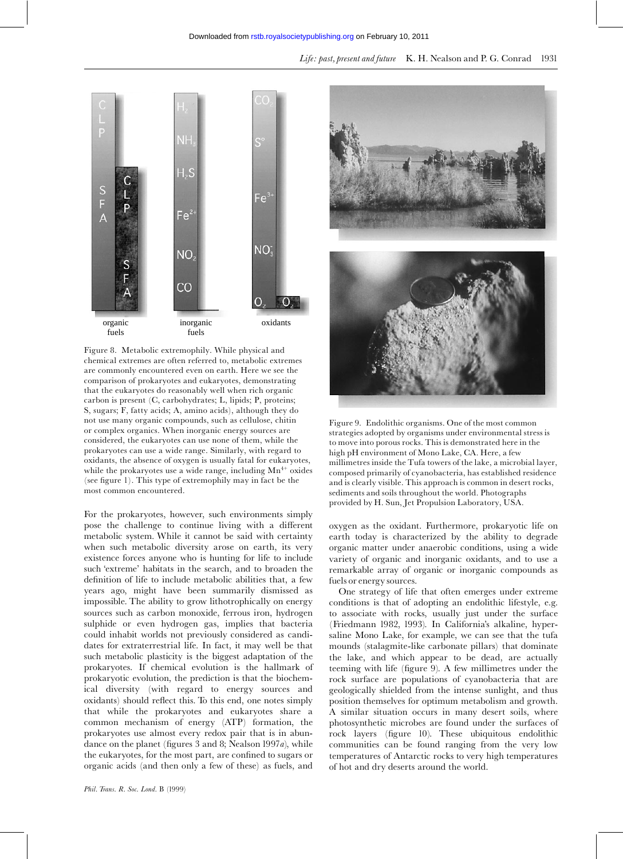

Figure 8. Metabolic extremophily. While physical and chemical extremes are often referred to, metabolic extremes are commonly encountered even on earth. Here we see the comparison of prokaryotes and eukaryotes, demonstrating that the eukaryotes do reasonably well when rich organic carbon is present (C, carbohydrates; L, lipids; P, proteins; S, sugars; F, fatty acids; A, amino acids), although they do not use many organic compounds, such as cellulose, chitin or complex organics. When inorganic energy sources are considered, the eukaryotes can use none of them, while the prokaryotes can use a wide range. Similarly, with regard to oxidants, the absence of oxygen is usually fatal for eukaryotes, while the prokaryotes use a wide range, including  $Mn^{4+}$  oxides (see figure 1). This type of extremophily may in fact be the most common encountered.

For the prokaryotes, however, such environments simply pose the challenge to continue living with a different metabolic system. While it cannot be said with certainty when such metabolic diversity arose on earth, its very existence forces anyone who is hunting for life to include such 'extreme' habitats in the search, and to broaden the definition of life to include metabolic abilities that, a few years ago, might have been summarily dismissed as impossible. The ability to grow lithotrophically on energy sources such as carbon monoxide, ferrous iron, hydrogen sulphide or even hydrogen gas, implies that bacteria could inhabit worlds not previously considered as candidates for extraterrestrial life. In fact, it may well be that such metabolic plasticity is the biggest adaptation of the prokaryotes. If chemical evolution is the hallmark of prokaryotic evolution, the prediction is that the biochemical diversity (with regard to energy sources and oxidants) should reflect this. To this end, one notes simply that while the prokaryotes and eukaryotes share a common mechanism of energy (ATP) formation, the prokaryotes use almost every redox pair that is in abundance on the planet (figures 3 and 8; Nealson 1997 $a$ ), while the eukaryotes, for the most part, are confined to sugars or organic acids (and then only a few of these) as fuels, and



Figure 9. Endolithic organisms. One of the most common strategies adopted by organisms under environmental stress is to move into porous rocks. This is demonstrated here in the high pH environment of Mono Lake, CA. Here, a few millimetres inside the Tufa towers of the lake, a microbial layer, composed primarily of cyanobacteria, has established residence and is clearly visible. This approach is common in desert rocks, sediments and soils throughout the world. Photographs provided by H. Sun, Jet Propulsion Laboratory, USA.

oxygen as the oxidant. Furthermore, prokaryotic life on earth today is characterized by the ability to degrade organic matter under anaerobic conditions, using a wide variety of organic and inorganic oxidants, and to use a remarkable array of organic or inorganic compounds as fuels or energy sources.

One strategy of life that often emerges under extreme conditions is that of adopting an endolithic lifestyle, e.g. to associate with rocks, usually just under the surface (Friedmann 1982, 1993). In California's alkaline, hypersaline Mono Lake, for example, we can see that the tufa mounds (stalagmite-like carbonate pillars) that dominate the lake, and which appear to be dead, are actually teeming with life (figure 9). A few millimetres under the rock surface are populations of cyanobacteria that are geologically shielded from the intense sunlight, and thus position themselves for optimum metabolism and growth. A similar situation occurs in many desert soils, where photosynthetic microbes are found under the surfaces of rock layers (figure 10). These ubiquitous endolithic communities can be found ranging from the very low temperatures of Antarctic rocks to very high temperatures of hot and dry deserts around the world.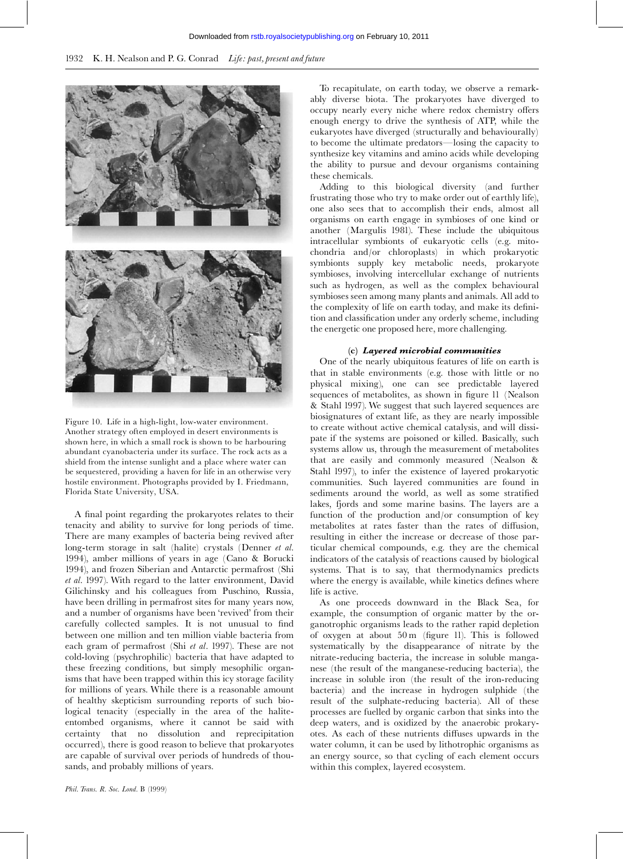

Figure 10. Life in a high-light, low-water environment. Another strategy often employed in desert environments is shown here, in which a small rock is shown to be harbouring abundant cyanobacteria under its surface. The rock acts as a shield from the intense sunlight and a place where water can be sequestered, providing a haven for life in an otherwise very hostile environment. Photographs provided by I. Friedmann, Florida State University, USA.

A final point regarding the prokaryotes relates to their tenacity and ability to survive for long periods of time. There are many examples of bacteria being revived after long-term storage in salt (halite) crystals (Denner et al. 1994), amber millions of years in age (Cano & Borucki 1994), and frozen Siberian and Antarctic permafrost (Shi et al. 1997). With regard to the latter environment, David Gilichinsky and his colleagues from Puschino, Russia, have been drilling in permafrost sites for many years now, and a number of organisms have been 'revived' from their carefully collected samples. It is not unusual to find between one million and ten million viable bacteria from each gram of permafrost (Shi et al. 1997). These are not cold-loving (psychrophilic) bacteria that have adapted to these freezing conditions, but simply mesophilic organisms that have been trapped within this icy storage facility for millions of years. While there is a reasonable amount of healthy skepticism surrounding reports of such biological tenacity (especially in the area of the haliteentombed organisms, where it cannot be said with certainty that no dissolution and reprecipitation occurred), there is good reason to believe that prokaryotes are capable of survival over periods of hundreds of thousands, and probably millions of years.

To recapitulate, on earth today, we observe a remarkably diverse biota. The prokaryotes have diverged to occupy nearly every niche where redox chemistry offers enough energy to drive the synthesis of ATP, while the eukaryotes have diverged (structurally and behaviourally) to become the ultimate predators—losing the capacity to synthesize key vitamins and amino acids while developing the ability to pursue and devour organisms containing these chemicals.

Adding to this biological diversity (and further frustrating those who try to make order out of earthly life), one also sees that to accomplish their ends, almost all organisms on earth engage in symbioses of one kind or another (Margulis 1981). These include the ubiquitous intracellular symbionts of eukaryotic cells (e.g. mitochondria and/or chloroplasts) in which prokaryotic symbionts supply key metabolic needs, prokaryote symbioses, involving intercellular exchange of nutrients such as hydrogen, as well as the complex behavioural symbioses seen among many plants and animals. All add to the complexity of life on earth today, and make its definition and classification under any orderly scheme, including the energetic one proposed here, more challenging.

#### (c) Layered microbial communities

One of the nearly ubiquitous features of life on earth is that in stable environments (e.g. those with little or no physical mixing), one can see predictable layered sequences of metabolites, as shown in figure 11 (Nealson & Stahl 1997). We suggest that such layered sequences are biosignatures of extant life, as they are nearly impossible to create without active chemical catalysis, and will dissipate if the systems are poisoned or killed. Basically, such systems allow us, through the measurement of metabolites that are easily and commonly measured (Nealson & Stahl 1997), to infer the existence of layered prokaryotic communities. Such layered communities are found in sediments around the world, as well as some stratified lakes, fjords and some marine basins. The layers are a function of the production and/or consumption of key metabolites at rates faster than the rates of diffusion, resulting in either the increase or decrease of those particular chemical compounds, e.g. they are the chemical indicators of the catalysis of reactions caused by biological systems. That is to say, that thermodynamics predicts where the energy is available, while kinetics defines where life is active.

As one proceeds downward in the Black Sea, for example, the consumption of organic matter by the organotrophic organisms leads to the rather rapid depletion of oxygen at about 50 m (figure 11). This is followed systematically by the disappearance of nitrate by the nitrate-reducing bacteria, the increase in soluble manganese (the result of the manganese-reducing bacteria), the increase in soluble iron (the result of the iron-reducing bacteria) and the increase in hydrogen sulphide (the result of the sulphate-reducing bacteria). All of these processes are fuelled by organic carbon that sinks into the deep waters, and is oxidized by the anaerobic prokaryotes. As each of these nutrients diffuses upwards in the water column, it can be used by lithotrophic organisms as an energy source, so that cycling of each element occurs within this complex, layered ecosystem.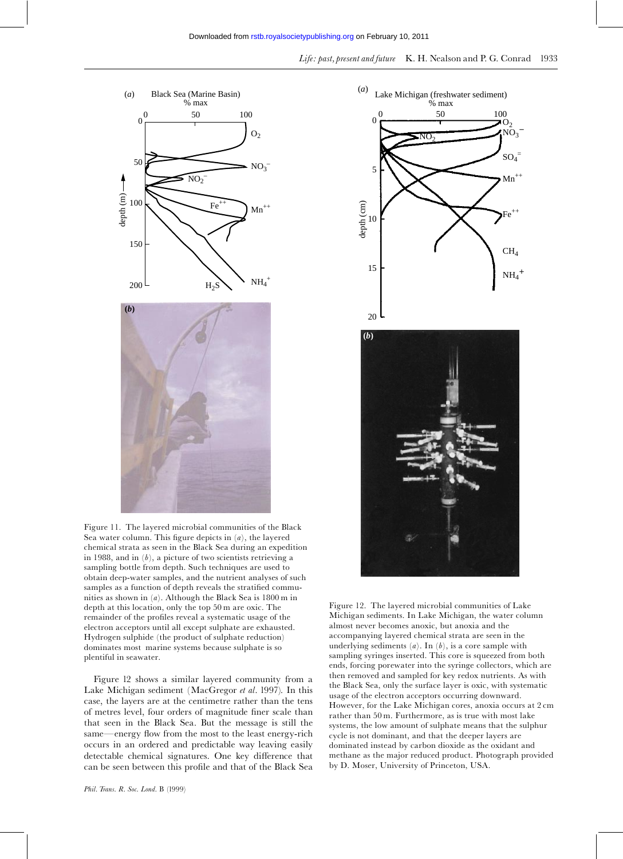

Figure 11. The layered microbial communities of the Black Sea water column. This figure depicts in  $(a)$ , the layered chemical strata as seen in the Black Sea during an expedition in 1988, and in  $(b)$ , a picture of two scientists retrieving a sampling bottle from depth. Such techniques are used to obtain deep-water samples, and the nutrient analyses of such samples as a function of depth reveals the stratified communities as shown in  $(a)$ . Although the Black Sea is  $1800 \text{ m}$  in depth at this location, only the top  $50\,\mathrm{m}$  are oxic. The remainder of the profiles reveal a systematic usage of the electron acceptors until all except sulphate are exhausted. Hydrogen sulphide (the product of sulphate reduction) dominates most marine systems because sulphate is so plentiful in seawater.

Figure 12 shows a similar layered community from a Lake Michigan sediment (MacGregor et al. 1997). In this case, the layers are at the centimetre rather than the tens of metres level, four orders of magnitude finer scale than that seen in the Black Sea. But the message is still the same—energy flow from the most to the least energy-rich occurs in an ordered and predictable way leaving easily detectable chemical signatures. One key difference that can be seen between this profile and that of the Black Sea



Figure 12. The layered microbial communities of Lake Michigan sediments. In Lake Michigan, the water column almost never becomes anoxic, but anoxia and the accompanying layered chemical strata are seen in the underlying sediments  $(a)$ . In  $(b)$ , is a core sample with sampling syringes inserted. This core is squeezed from both ends, forcing porewater into the syringe collectors, which are then removed and sampled for key redox nutrients. As with the Black Sea, only the surface layer is oxic, with systematic usage of the electron acceptors occurring downward. However, for the Lake Michigan cores, anoxia occurs at 2 cm  $\mathop{\rm rather\ than\ 50\,m.\ Furthermore, as\ is\ true\ with\ most\ lake$ systems, the low amount of sulphate means that the sulphur cycle is not dominant, and that the deeper layers are dominated instead by carbon dioxide as the oxidant and methane as the major reduced product. Photograph provided by D. Moser, University of Princeton, USA.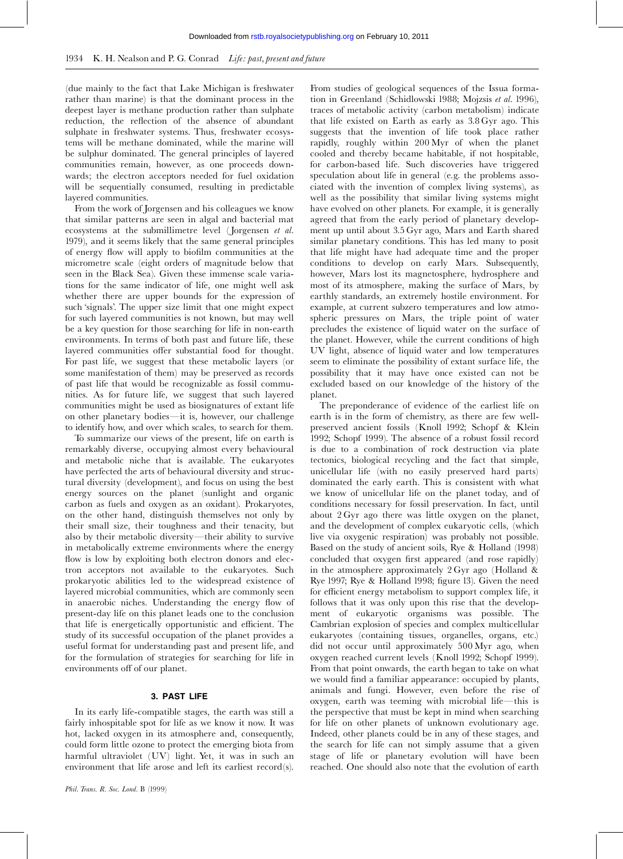(due mainly to the fact that Lake Michigan is freshwater rather than marine) is that the dominant process in the deepest layer is methane production rather than sulphate reduction, the reflection of the absence of abundant sulphate in freshwater systems. Thus, freshwater ecosystems will be methane dominated, while the marine will be sulphur dominated. The general principles of layered communities remain, however, as one proceeds downwards; the electron acceptors needed for fuel oxidation will be sequentially consumed, resulting in predictable layered communities.

From the work of Jorgensen and his colleagues we know that similar patterns are seen in algal and bacterial mat ecosystems at the submillimetre level (Jorgensen et al. 1979), and it seems likely that the same general principles of energy flow will apply to biofilm communities at the micrometre scale (eight orders of magnitude below that seen in the Black Sea). Given these immense scale variations for the same indicator of life, one might well ask whether there are upper bounds for the expression of such 'signals'. The upper size limit that one might expect for such layered communities is not known, but may well be a key question for those searching for life in non-earth environments. In terms of both past and future life, these layered communities offer substantial food for thought. For past life, we suggest that these metabolic layers (or some manifestation of them) may be preserved as records of past life that would be recognizable as fossil communities. As for future life, we suggest that such layered communities might be used as biosignatures of extant life on other planetary bodies-it is, however, our challenge to identify how, and over which scales, to search for them.

To summarize our views of the present, life on earth is remarkably diverse, occupying almost every behavioural and metabolic niche that is available. The eukaryotes have perfected the arts of behavioural diversity and structural diversity (development), and focus on using the best energy sources on the planet (sunlight and organic carbon as fuels and oxygen as an oxidant). Prokaryotes, on the other hand, distinguish themselves not only by their small size, their toughness and their tenacity, but also by their metabolic diversity—their ability to survive in metabolically extreme environments where the energy flow is low by exploiting both electron donors and electron acceptors not available to the eukaryotes. Such prokaryotic abilities led to the widespread existence of layered microbial communities, which are commonly seen in anaerobic niches. Understanding the energy flow of present-day life on this planet leads one to the conclusion that life is energetically opportunistic and efficient. The study of its successful occupation of the planet provides a useful format for understanding past and present life, and for the formulation of strategies for searching for life in environments off of our planet.

#### 3. PAST LIFE

In its early life-compatible stages, the earth was still a fairly inhospitable spot for life as we know it now. It was hot, lacked oxygen in its atmosphere and, consequently, could form little ozone to protect the emerging biota from harmful ultraviolet (UV) light. Yet, it was in such an environment that life arose and left its earliest record(s).

From studies of geological sequences of the Issua formation in Greenland (Schidlowski 1988; Mojzsis et al. 1996), traces of metabolic activity (carbon metabolism) indicate that life existed on Earth as early as 3.8 Gyr ago. This suggests that the invention of life took place rather rapidly, roughly within 200 Myr of when the planet cooled and thereby became habitable, if not hospitable, for carbon-based life. Such discoveries have triggered speculation about life in general (e.g. the problems associated with the invention of complex living systems), as well as the possibility that similar living systems might have evolved on other planets. For example, it is generally agreed that from the early period of planetary development up until about 3.5 Gyr ago, Mars and Earth shared similar planetary conditions. This has led many to posit that life might have had adequate time and the proper conditions to develop on early Mars. Subsequently, however, Mars lost its magnetosphere, hydrosphere and most of its atmosphere, making the surface of Mars, by earthly standards, an extremely hostile environment. For example, at current subzero temperatures and low atmospheric pressures on Mars, the triple point of water precludes the existence of liquid water on the surface of the planet. However, while the current conditions of high UV light, absence of liquid water and low temperatures seem to eliminate the possibility of extant surface life, the possibility that it may have once existed can not be excluded based on our knowledge of the history of the planet.

The preponderance of evidence of the earliest life on earth is in the form of chemistry, as there are few wellpreserved ancient fossils (Knoll 1992; Schopf & Klein 1992; Schopf 1999). The absence of a robust fossil record is due to a combination of rock destruction via plate tectonics, biological recycling and the fact that simple, unicellular life (with no easily preserved hard parts) dominated the early earth. This is consistent with what we know of unicellular life on the planet today, and of conditions necessary for fossil preservation. In fact, until about 2 Gyr ago there was little oxygen on the planet, and the development of complex eukaryotic cells, (which live via oxygenic respiration) was probably not possible. Based on the study of ancient soils, Rye & Holland (1998) concluded that oxygen first appeared (and rose rapidly) in the atmosphere approximately 2 Gyr ago (Holland & Rye 1997; Rye & Holland 1998; figure 13). Given the need for efficient energy metabolism to support complex life, it follows that it was only upon this rise that the development of eukaryotic organisms was possible. The Cambrian explosion of species and complex multicellular eukaryotes (containing tissues, organelles, organs, etc.) did not occur until approximately 500 Myr ago, when oxygen reached current levels (Knoll 1992; Schopf 1999). From that point onwards, the earth began to take on what we would find a familiar appearance: occupied by plants, animals and fungi. However, even before the rise of oxygen, earth was teeming with microbial life—this is the perspective that must be kept in mind when searching for life on other planets of unknown evolutionary age. Indeed, other planets could be in any of these stages, and the search for life can not simply assume that a given stage of life or planetary evolution will have been reached. One should also note that the evolution of earth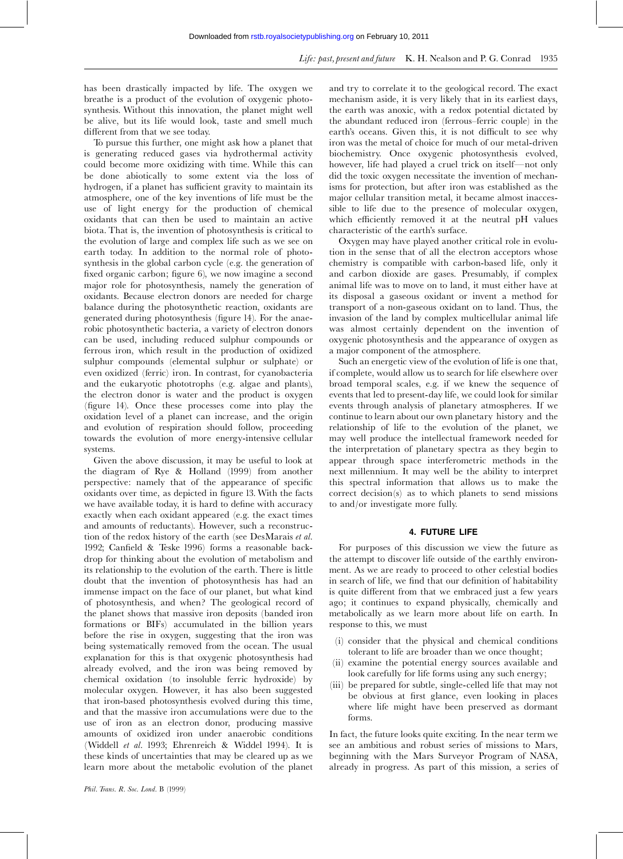has been drastically impacted by life. The oxygen we breathe is a product of the evolution of oxygenic photosynthesis. Without this innovation, the planet might well be alive, but its life would look, taste and smell much different from that we see today.

To pursue this further, one might ask how a planet that is generating reduced gases via hydrothermal activity could become more oxidizing with time. While this can be done abiotically to some extent via the loss of hydrogen, if a planet has sufficient gravity to maintain its atmosphere, one of the key inventions of life must be the use of light energy for the production of chemical oxidants that can then be used to maintain an active biota. That is, the invention of photosynthesis is critical to the evolution of large and complex life such as we see on earth today. In addition to the normal role of photosynthesis in the global carbon cycle (e.g. the generation of fixed organic carbon; figure 6), we now imagine a second major role for photosynthesis, namely the generation of oxidants. Because electron donors are needed for charge balance during the photosynthetic reaction, oxidants are generated during photosynthesis (figure 14). For the anaerobic photosynthetic bacteria, a variety of electron donors can be used, including reduced sulphur compounds or ferrous iron, which result in the production of oxidized sulphur compounds (elemental sulphur or sulphate) or even oxidized (ferric) iron. In contrast, for cyanobacteria and the eukaryotic phototrophs (e.g. algae and plants), the electron donor is water and the product is oxygen (figure 14). Once these processes come into play the oxidation level of a planet can increase, and the origin and evolution of respiration should follow, proceeding towards the evolution of more energy-intensive cellular systems.

Given the above discussion, it may be useful to look at the diagram of Rye & Holland (1999) from another perspective: namely that of the appearance of specific oxidants over time, as depicted in figure 13. With the facts we have available today, it is hard to define with accuracy exactly when each oxidant appeared (e.g. the exact times and amounts of reductants). However, such a reconstruction of the redox history of the earth (see DesMarais et al. 1992; Canfield & Teske 1996) forms a reasonable backdrop for thinking about the evolution of metabolism and its relationship to the evolution of the earth. There is little doubt that the invention of photosynthesis has had an immense impact on the face of our planet, but what kind of photosynthesis, and when? The geological record of the planet shows that massive iron deposits (banded iron formations or BIFs) accumulated in the billion years before the rise in oxygen, suggesting that the iron was being systematically removed from the ocean. The usual explanation for this is that oxygenic photosynthesis had already evolved, and the iron was being removed by chemical oxidation (to insoluble ferric hydroxide) by molecular oxygen. However, it has also been suggested that iron-based photosynthesis evolved during this time, and that the massive iron accumulations were due to the use of iron as an electron donor, producing massive amounts of oxidized iron under anaerobic conditions (Widdell et al. 1993; Ehrenreich & Widdel 1994). It is these kinds of uncertainties that may be cleared up as we learn more about the metabolic evolution of the planet

and try to correlate it to the geological record. The exact mechanism aside, it is very likely that in its earliest days, the earth was anoxic, with a redox potential dictated by the abundant reduced iron (ferrous–ferric couple) in the earth's oceans. Given this, it is not difficult to see why iron was the metal of choice for much of our metal-driven biochemistry. Once oxygenic photosynthesis evolved, however, life had played a cruel trick on itself-not only did the toxic oxygen necessitate the invention of mechanisms for protection, but after iron was established as the major cellular transition metal, it became almost inaccessible to life due to the presence of molecular oxygen, which efficiently removed it at the neutral pH values characteristic of the earth's surface.

Oxygen may have played another critical role in evolution in the sense that of all the electron acceptors whose chemistry is compatible with carbon-based life, only it and carbon dioxide are gases. Presumably, if complex animal life was to move on to land, it must either have at its disposal a gaseous oxidant or invent a method for transport of a non-gaseous oxidant on to land. Thus, the invasion of the land by complex multicellular animal life was almost certainly dependent on the invention of oxygenic photosynthesis and the appearance of oxygen as a major component of the atmosphere.

Such an energetic view of the evolution of life is one that, if complete, would allow us to search for life elsewhere over broad temporal scales, e.g. if we knew the sequence of events that led to present-day life, we could look for similar events through analysis of planetary atmospheres. If we continue to learn about our own planetary history and the relationship of life to the evolution of the planet, we may well produce the intellectual framework needed for the interpretation of planetary spectra as they begin to appear through space interferometric methods in the next millennium. It may well be the ability to interpret this spectral information that allows us to make the correct decision(s) as to which planets to send missions to and/or investigate more fully.

#### 4. FUTURE LIFE

For purposes of this discussion we view the future as the attempt to discover life outside of the earthly environment. As we are ready to proceed to other celestial bodies in search of life, we find that our definition of habitability is quite different from that we embraced just a few years ago; it continues to expand physically, chemically and metabolically as we learn more about life on earth. In response to this, we must

- (i) consider that the physical and chemical conditions tolerant to life are broader than we once thought;
- (ii) examine the potential energy sources available and look carefully for life forms using any such energy;
- (iii) be prepared for subtle, single-celled life that may not be obvious at first glance, even looking in places where life might have been preserved as dormant forms

In fact, the future looks quite exciting. In the near term we see an ambitious and robust series of missions to Mars, beginning with the Mars Surveyor Program of NASA, already in progress. As part of this mission, a series of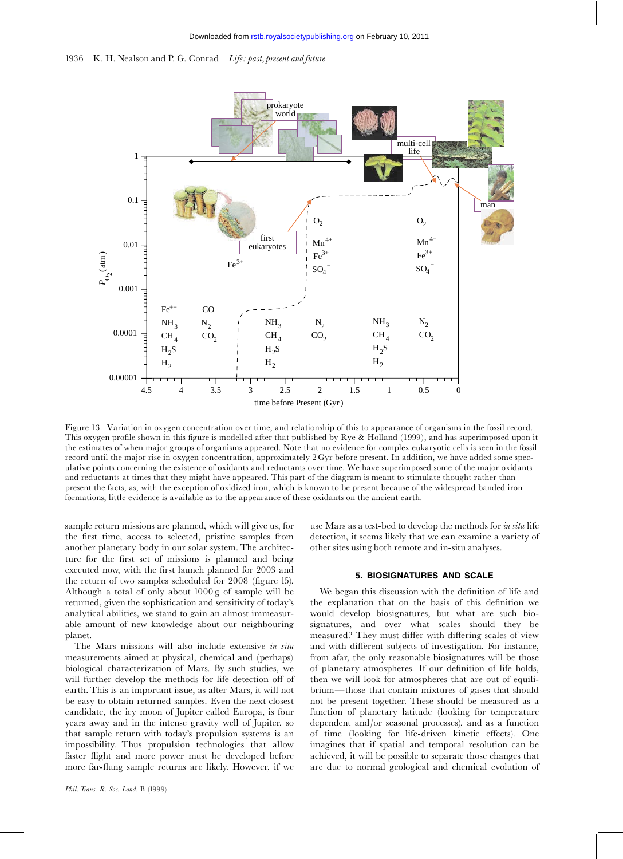

Figure 13. Variation in oxygen concentration over time, and relationship of this to appearance of organisms in the fossil record. This oxygen profile shown in this figure is modelled after that published by Rye & Holland (1999), and has superimposed upon it the estimates of when major groups of organisms appeared. Note that no evidence for complex eukaryotic cells is seen in the fossil record until the major rise in oxygen concentration, approximately 2 Gyr before present. In addition, we have added some speculative points concerning the existence of oxidants and reductants over time. We have superimposed some of the major oxidants and reductants at times that they might have appeared. This part of the diagram is meant to stimulate thought rather than present the facts, as, with the exception of oxidized iron, which is known to be present because of the widespread banded iron formations, little evidence is available as to the appearance of these oxidants on the ancient earth.

sample return missions are planned, which will give us, for the first time, access to selected, pristine samples from another planetary body in our solar system. The architecture for the first set of missions is planned and being executed now, with the first launch planned for 2003 and the return of two samples scheduled for  $2008$  (figure 15). Although a total of only about 1000 g of sample will be returned, given the sophistication and sensitivity of today's analytical abilities, we stand to gain an almost immeasurable amount of new knowledge about our neighbouring planet.

The Mars missions will also include extensive in situ measurements aimed at physical, chemical and (perhaps) biological characterization of Mars. By such studies, we will further develop the methods for life detection off of earth. This is an important issue, as after Mars, it will not be easy to obtain returned samples. Even the next closest candidate, the icy moon of Jupiter called Europa, is four years away and in the intense gravity well of Jupiter, so that sample return with today's propulsion systems is an impossibility. Thus propulsion technologies that allow faster flight and more power must be developed before more far-flung sample returns are likely. However, if we use Mars as a test-bed to develop the methods for in situ life detection, it seems likely that we can examine a variety of other sites using both remote and in-situ analyses.

#### 5. BIOSIGNATURES AND SCALE

We began this discussion with the definition of life and the explanation that on the basis of this definition we would develop biosignatures, but what are such biosignatures, and over what scales should they be measured? They must differ with differing scales of view and with different subjects of investigation. For instance, from afar, the only reasonable biosignatures will be those of planetary atmospheres. If our definition of life holds, then we will look for atmospheres that are out of equilibrium—those that contain mixtures of gases that should not be present together. These should be measured as a function of planetary latitude (looking for temperature dependent and/or seasonal processes), and as a function of time (looking for life-driven kinetic effects). One imagines that if spatial and temporal resolution can be achieved, it will be possible to separate those changes that are due to normal geological and chemical evolution of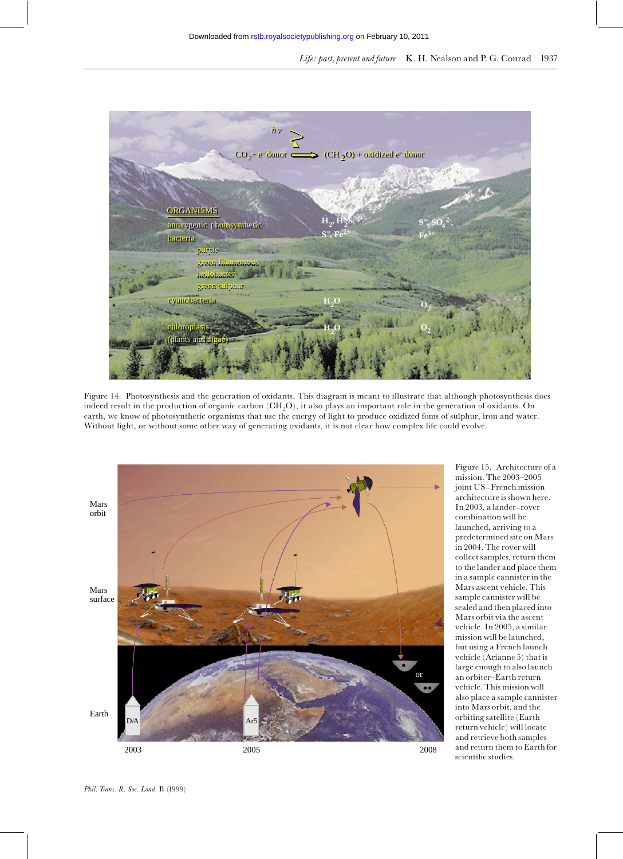

Figure 14. Photosynthesis and the generation of oxidants. This diagram is meant to illustrate that although photosynthesis does indeed result in the production of organic carbon  ${\rm (CH_2O)}$ , it also plays an important role in the generation of oxidants. On earth, we know of photosynthetic organisms that use the energy of light to produce oxidized foms of sulphur, iron and water. Without light, or without some other way of generating oxidants, it is not clear how complex life could evolve.



Figure 15. Architecture of a mission. The 2003-2005 joint US–French mission architecture is shown here. In 2003, a lander–rover combination will be launched, arriving to a predetermined site on Mars in 2004. The rover will collect samples, return them to the lander and place them in a sample cannister in the Mars ascent vehicle. This sample cannister will be sealed and then placed into Mars orbit via the ascent vehicle. In 2005, a similar mission will be launched, but using a French launch vehicle (Arianne 5) that is large enough to also launch an orbiter–Earth return vehicle. This mission will also place a sample cannister into Mars orbit, and the orbiting satellite (Earth return vehicle) will locate and retrieve both samples and return them to Earth for scientific studies.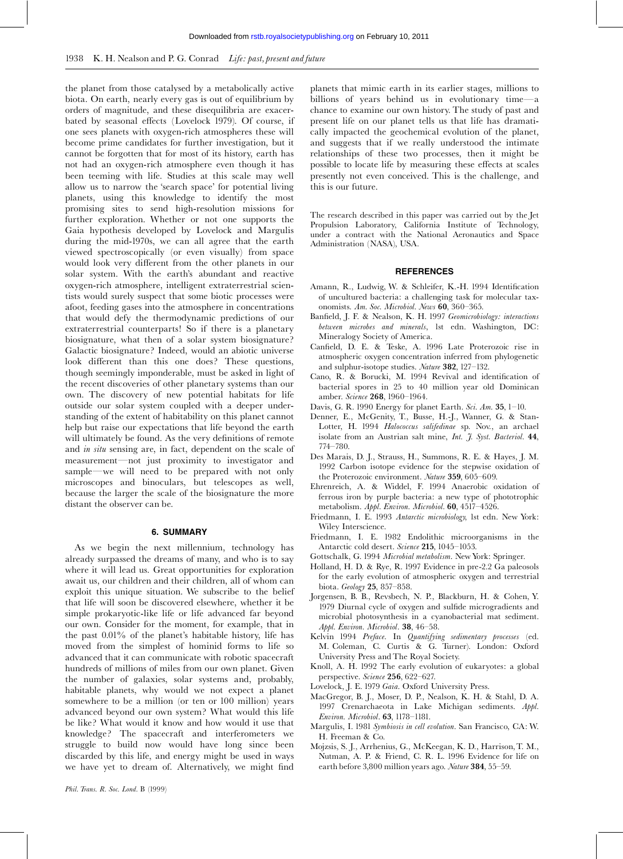the planet from those catalysed by a metabolically active biota. On earth, nearly every gas is out of equilibrium by orders of magnitude, and these disequilibria are exacerbated by seasonal effects (Lovelock 1979). Of course, if one sees planets with oxygen-rich atmospheres these will become prime candidates for further investigation, but it cannot be forgotten that for most of its history, earth has not had an oxygen-rich atmosphere even though it has been teeming with life. Studies at this scale may well allow us to narrow the 'search space' for potential living planets, using this knowledge to identify the most promising sites to send high-resolution missions for further exploration. Whether or not one supports the Gaia hypothesis developed by Lovelock and Margulis during the mid-1970s, we can all agree that the earth viewed spectroscopically (or even visually) from space would look very different from the other planets in our solar system. With the earth's abundant and reactive oxygen-rich atmosphere, intelligent extraterrestrial scientists would surely suspect that some biotic processes were afoot, feeding gases into the atmosphere in concentrations that would defy the thermodynamic predictions of our extraterrestrial counterparts! So if there is a planetary biosignature, what then of a solar system biosignature? Galactic biosignature? Indeed, would an abiotic universe look different than this one does? These questions, though seemingly imponderable, must be asked in light of the recent discoveries of other planetary systems than our own. The discovery of new potential habitats for life outside our solar system coupled with a deeper understanding of the extent of habitability on this planet cannot help but raise our expectations that life beyond the earth will ultimately be found. As the very definitions of remote and in situ sensing are, in fact, dependent on the scale of measurement-not just proximity to investigator and sample-we will need to be prepared with not only microscopes and binoculars, but telescopes as well, because the larger the scale of the biosignature the more distant the observer can be.

### **6. SUMMARY**

As we begin the next millennium, technology has already surpassed the dreams of many, and who is to say where it will lead us. Great opportunities for exploration await us, our children and their children, all of whom can exploit this unique situation. We subscribe to the belief that life will soon be discovered elsewhere, whether it be simple prokaryotic-like life or life advanced far beyond our own. Consider for the moment, for example, that in the past 0.01% of the planet's habitable history, life has moved from the simplest of hominid forms to life so advanced that it can communicate with robotic spacecraft hundreds of millions of miles from our own planet. Given the number of galaxies, solar systems and, probably, habitable planets, why would we not expect a planet somewhere to be a million (or ten or 100 million) years advanced beyond our own system? What would this life be like? What would it know and how would it use that knowledge? The spacecraft and interferometers we struggle to build now would have long since been discarded by this life, and energy might be used in ways we have yet to dream of. Alternatively, we might find

planets that mimic earth in its earlier stages, millions to billions of years behind us in evolutionary time $-a$ chance to examine our own history. The study of past and present life on our planet tells us that life has dramatically impacted the geochemical evolution of the planet, and suggests that if we really understood the intimate relationships of these two processes, then it might be possible to locate life by measuring these effects at scales presently not even conceived. This is the challenge, and this is our future.

The research described in this paper was carried out by the Jet Propulsion Laboratory, California Institute of Technology, under a contract with the National Aeronautics and Space Administration (NASA), USA.

#### **REFERENCES**

- Amann, R., Ludwig, W. & Schleifer, K.-H. 1994 Identification of uncultured bacteria: a challenging task for molecular taxonomists. Am. Soc. Microbiol. News 60, 360-365.
- Banfield, J. F. & Nealson, K. H. 1997 Geomicrobiology: interactions between microbes and minerals, 1st edn. Washington, DC: Mineralogy Society of America.
- Canfield, D. E. & Teske, A. 1996 Late Proterozoic rise in atmospheric oxygen concentration inferred from phylogenetic and sulphur-isotope studies. Nature 382, 127-132.
- Cano, R. & Borucki, M. 1994 Revival and identification of bacterial spores in 25 to 40 million year old Dominican amber. Science 268, 1960-1964.
- Davis, G. R. 1990 Energy for planet Earth. Sci. Am. 35, 1-10.
- Denner, E., McGenity, T., Busse, H.-J., Wanner, G. & Stan-Lotter, H. 1994 Halococcus salifedinae sp. Nov., an archael isolate from an Austrian salt mine, Int. J. Syst. Bacteriol. 44,  $774 - 780.$
- Des Marais, D. J., Strauss, H., Summons, R. E. & Hayes, J. M. 1992 Carbon isotope evidence for the stepwise oxidation of the Proterozoic environment. Nature 359, 605-609.
- Ehrenreich, A. & Widdel, F. 1994 Anaerobic oxidation of ferrous iron by purple bacteria: a new type of phototrophic metabolism. Appl. Environ. Microbiol. 60, 4517-4526.
- Friedmann, I. E. 1993 Antarctic microbiology, 1st edn. New York: Wiley Interscience.
- Friedmann, I. E. 1982 Endolithic microorganisms in the Antarctic cold desert. Science 215, 1045-1053.
- Gottschalk, G. 1994 Microbial metabolism. New York: Springer.
- Holland, H. D. & Rye, R. 1997 Evidence in pre-2.2 Ga paleosols for the early evolution of atmospheric oxygen and terrestrial biota. Geology 25, 857-858.
- Jorgensen, B. B., Revsbech, N. P., Blackburn, H. & Cohen, Y. 1979 Diurnal cycle of oxygen and sulfide microgradients and microbial photosynthesis in a cyanobacterial mat sediment. Appl. Environ. Microbiol. 38, 46-58.
- Kelvin 1994 Preface. In Quantifying sedimentary processes (ed. M. Coleman, C. Curtis & G. Turner). London: Oxford University Press and The Royal Society.
- Knoll, A. H. 1992 The early evolution of eukaryotes: a global perspective. Science 256, 622-627.
- Lovelock, J. E. 1979 Gaia. Oxford University Press.
- MacGregor, B. J., Moser, D. P., Nealson, K. H. & Stahl, D. A. 1997 Crenarchaeota in Lake Michigan sediments. Appl. Environ. Microbiol. 63, 1178-1181.
- Margulis, I. 1981 Symbiosis in cell evolution. San Francisco, CA: W. H. Freeman & Co.
- Mojzsis, S. J., Arrhenius, G., McKeegan, K. D., Harrison, T. M., Nutman, A. P. & Friend, C. R. L. 1996 Evidence for life on earth before 3,800 million years ago. *Nature* 384, 55–59.